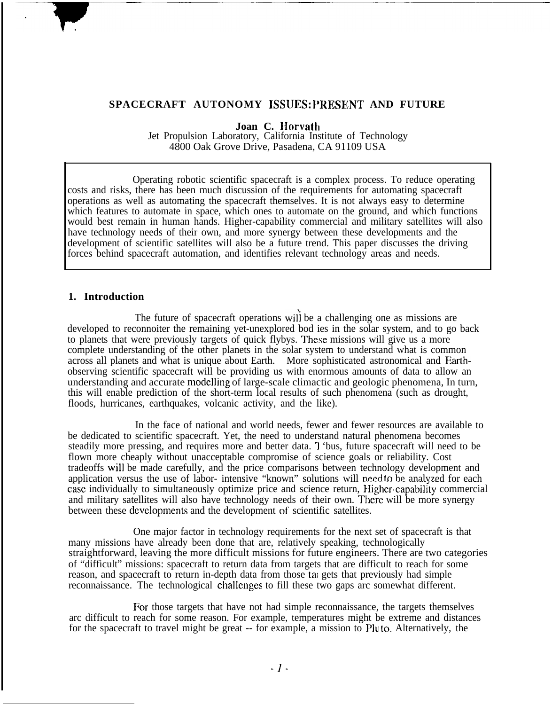## **SPACECRAFT AUTONOMY ISSUES: PRESENT AND FUTURE**

**Joan C.** Horvath

Jet Propulsion Laboratory, California Institute of Technology 4800 Oak Grove Drive, Pasadena, CA 91109 USA

Operating robotic scientific spacecraft is a complex process. To reduce operating costs and risks, there has been much discussion of the requirements for automating spacecraft operations as well as automating the spacecraft themselves. It is not always easy to determine which features to automate in space, which ones to automate on the ground, and which functions would best remain in human hands. Higher-capability commercial and military satellites will also have technology needs of their own, and more synergy between these developments and the development of scientific satellites will also be a future trend. This paper discusses the driving forces behind spacecraft automation, and identifies relevant technology areas and needs.

#### **1. Introduction**

The future of spacecraft operations wifi be a challenging one as missions are developed to reconnoiter the remaining yet-unexplored bod ies in the solar system, and to go back to planets that were previously targets of quick flybys. These missions will give us a more complete understanding of the other planets in the solar system to understand what is common across all planets and what is unique about Earth. More sophisticated astronomical and Earthobserving scientific spacecraft will be providing us with enormous amounts of data to allow an understanding and accurate modelling of large-scale climactic and geologic phenomena, In turn, this will enable prediction of the short-term local results of such phenomena (such as drought, floods, hurricanes, earthquakes, volcanic activity, and the like).

In the face of national and world needs, fewer and fewer resources are available to be dedicated to scientific spacecraft. Yet, the need to understand natural phenomena becomes steadily more pressing, and requires more and better data. '1 'bus, future spacecraft will need to be flown more cheaply without unacceptable compromise of science goals or reliability. Cost tradeoffs will be made carefully, and the price comparisons between technology development and application versus the use of labor- intensive "known" solutions will need to he analyzed for each case individually to simultaneously optimize price and science return, Higher-capability commercial and military satellites will also have technology needs of their own. There will be more synergy between these developments and the development of scientific satellites.

One major factor in technology requirements for the next set of spacecraft is that many missions have already been done that are, relatively speaking, technologically straightforward, leaving the more difficult missions for future engineers. There are two categories of "difficult" missions: spacecraft to return data from targets that are difficult to reach for some reason, and spacecraft to return in-depth data from those tal gets that previously had simple reconnaissance. The technological challenges to fill these two gaps arc somewhat different.

For those targets that have not had simple reconnaissance, the targets themselves arc difficult to reach for some reason. For example, temperatures might be extreme and distances for the spacecraft to travel might be great -- for example, a mission to Pluto. Alternatively, the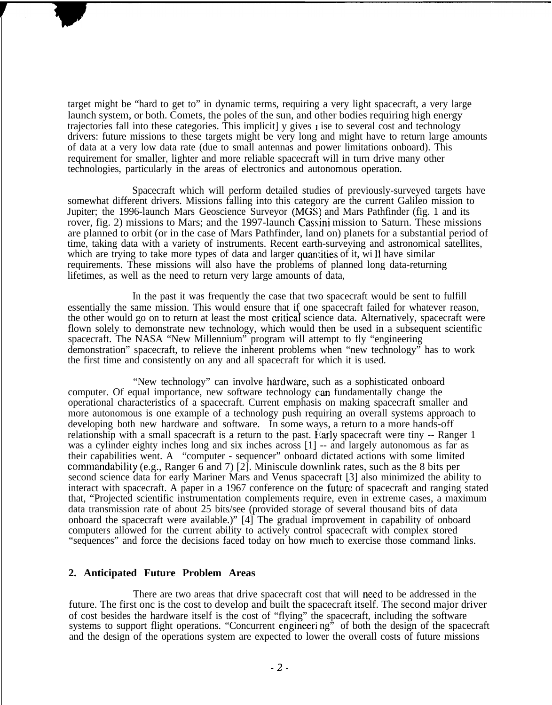target might be "hard to get to" in dynamic terms, requiring a very light spacecraft, a very large launch system, or both. Comets, the poles of the sun, and other bodies requiring high energy trajectories fall into these categories. This implicit | y gives 1 ise to several cost and technology drivers: future missions to these targets might be very long and might have to return large amounts of data at a very low data rate (due to small antennas and power limitations onboard). This requirement for smaller, lighter and more reliable spacecraft will in turn drive many other technologies, particularly in the areas of electronics and autonomous operation.

Spacecraft which will perform detailed studies of previously-surveyed targets have somewhat different drivers. Missions falling into this category are the current Galileo mission to Jupiter; the 1996-launch Mars Geoscience Surveyor (MGS) and Mars Pathfinder (fig. 1 and its rover, fig. 2) missions to Mars; and the 1997-launch Cassini mission to Saturn. These missions are planned to orbit (or in the case of Mars Pathfinder, land on) planets for a substantial period of time, taking data with a variety of instruments. Recent earth-surveying and astronomical satellites, which are trying to take more types of data and larger quantities of it, will have similar requirements. These missions will also have the problems of planned long data-returning lifetimes, as well as the need to return very large amounts of data,

In the past it was frequently the case that two spacecraft would be sent to fulfill essentially the same mission. This would ensure that if one spacecraft failed for whatever reason, the other would go on to return at least the most critical science data. Alternatively, spacecraft were flown solely to demonstrate new technology, which would then be used in a subsequent scientific spacecraft. The NASA "New Millennium" program will attempt to fly "engineering demonstration" spacecraft, to relieve the inherent problems when "new technology" has to work the first time and consistently on any and all spacecraft for which it is used.

"New technology" can involve hardware, such as a sophisticated onboard computer. Of equal importance, new software technology can fundamentally change the operational characteristics of a spacecraft. Current emphasis on making spacecraft smaller and more autonomous is one example of a technology push requiring an overall systems approach to developing both new hardware and software. In some ways, a return to a more hands-off relationship with a small spacecraft is a return to the past. Early spacecraft were tiny  $-$  Ranger 1 was a cylinder eighty inches long and six inches across [1] -- and largely autonomous as far as their capabilities went. A "computer - sequencer" onboard dictated actions with some limited commandability (e.g., Ranger 6 and 7) [2]. Miniscule downlink rates, such as the 8 bits per second science data for early Mariner Mars and Venus spacecraft [3] also minimized the ability to interact with spacecraft. A paper in a 1967 conference on the future of spacecraft and ranging stated that, "Projected scientific instrumentation complements require, even in extreme cases, a maximum data transmission rate of about 25 bits/see (provided storage of several thousand bits of data onboard the spacecraft were available.)" [4] The gradual improvement in capability of onboard computers allowed for the current ability to actively control spacecraft with complex stored "sequences" and force the decisions faced today on how much to exercise those command links.

### **2. Anticipated Future Problem Areas**

There are two areas that drive spacecraft cost that will need to be addressed in the future. The first onc is the cost to develop and built the spacecraft itself. The second major driver of cost besides the hardware itself is the cost of "flying" the spacecraft, including the software systems to support flight operations. "Concurrent engineering" of both the design of the spacecraft and the design of the operations system are expected to lower the overall costs of future missions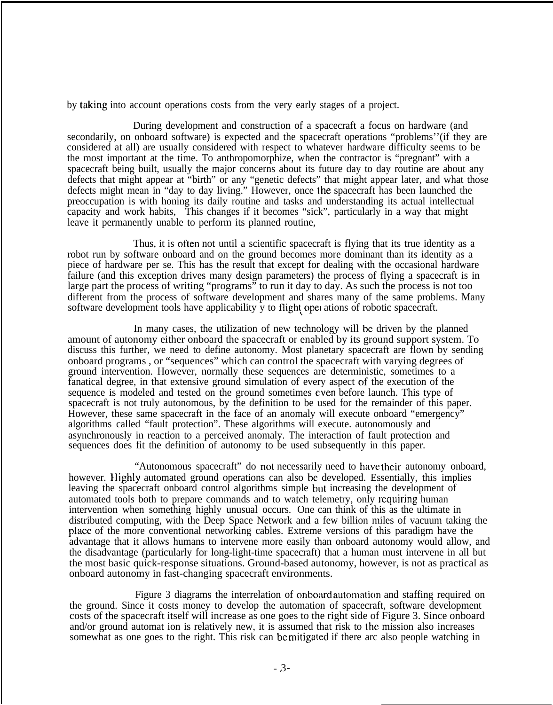by taking into account operations costs from the very early stages of a project.

During development and construction of a spacecraft a focus on hardware (and secondarily, on onboard software) is expected and the spacecraft operations "problems" (if they are considered at all) are usually considered with respect to whatever hardware difficulty seems to be the most important at the time. To anthropomorphize, when the contractor is "pregnant" with a spacecraft being built, usually the major concerns about its future day to day routine are about any defects that might appear at "birth" or any "genetic defects" that might appear later, and what those defects might mean in "day to day living." However, once the spacecraft has been launched the preoccupation is with honing its daily routine and tasks and understanding its actual intellectual capacity and work habits, This changes if it becomes "sick", particularly in a way that might leave it permanently unable to perform its planned routine,

Thus, it is often not until a scientific spacecraft is flying that its true identity as a robot run by software onboard and on the ground becomes more dominant than its identity as a piece of hardware per se. This has the result that except for dealing with the occasional hardware failure (and this exception drives many design parameters) the process of flying a spacecraft is in large part the process of writing "programs" to run it day to day. As such the process is not too different from the process of software development and shares many of the same problems. Many software development tools have applicability  $\dot{y}$  to flight oper ations of robotic spacecraft.

In many cases, the utilization of new technology will bc driven by the planned amount of autonomy either onboard the spacecraft or enabled by its ground support system. To discuss this further, we need to define autonomy. Most planetary spacecraft are flown by sending onboard programs , or "sequences" which can control the spacecraft with varying degrees of ground intervention. However, normally these sequences are deterministic, sometimes to a fanatical degree, in that extensive ground simulation of every aspect of the execution of the sequence is modeled and tested on the ground sometimes even before launch. This type of spacecraft is not truly autonomous, by the definition to be used for the remainder of this paper. However, these same spacecraft in the face of an anomaly will execute onboard "emergency" algorithms called "fault protection". These algorithms will execute. autonomously and asynchronously in reaction to a perceived anomaly. The interaction of fault protection and sequences does fit the definition of autonomy to be used subsequently in this paper.

"Autonomous spacecraft" do not necessarily need to have their autonomy onboard, however. Ilighly automated ground operations can also be developed. Essentially, this implies leaving the spacecraft onboard control algorithms simple but increasing the development of automated tools both to prepare commands and to watch telemetry, only requiring human intervention when something highly unusual occurs. One can think of this as the ultimate in distributed computing, with the Deep Space Network and a few billion miles of vacuum taking the place of the more conventional networking cables. Extreme versions of this paradigm have the advantage that it allows humans to intervene more easily than onboard autonomy would allow, and the disadvantage (particularly for long-light-time spacecraft) that a human must intervene in all but the most basic quick-response situations. Ground-based autonomy, however, is not as practical as onboard autonomy in fast-changing spacecraft environments.

Figure 3 diagrams the interrelation of onboard automation and staffing required on the ground. Since it costs money to develop the automation of spacecraft, software development costs of the spacecraft itself will increase as one goes to the right side of Figure 3. Since onboard and/or ground automat ion is relatively new, it is assumed that risk to the mission also increases somewhat as one goes to the right. This risk can be mitigaled if there arc also people watching in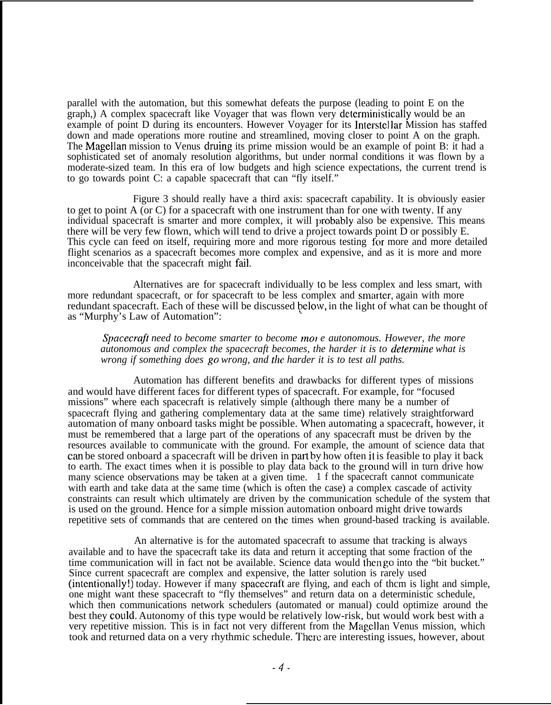parallel with the automation, but this somewhat defeats the purpose (leading to point E on the graph,) A complex spacecraft like Voyager that was flown very deterministically would be an example of point D during its encounters. However Voyager for its Interstellar Mission has staffed down and made operations more routine and streamlined, moving closer to point A on the graph. The Magellan mission to Venus druing its prime mission would be an example of point B: it had a sophisticated set of anomaly resolution algorithms, but under normal conditions it was flown by a moderate-sized team. In this era of low budgets and high science expectations, the current trend is to go towards point C: a capable spacecraft that can "fly itself."

Figure 3 should really have a third axis: spacecraft capability. It is obviously easier to get to point A (or C) for a spacecraft with one instrument than for one with twenty. If any individual spacecraft is smarter and more complex, it will probably also be expensive. This means there will be very few flown, which will tend to drive a project towards point D or possibly E. This cycle can feed on itself, requiring more and more rigorous testing for more and more detailed flight scenarios as a spacecraft becomes more complex and expensive, and as it is more and more inconceivable that the spacecraft might fail.

Alternatives are for spacecraft individually to be less complex and less smart, with more redundant spacecraft, or for spacecraft to be less complex and smarter, again with more redundant spacecraft. Each of these will be discussed below, in the light of what can be thought of as "Murphy's Law of Automation":

#### *Spacecraft need to become smarter to become more autonomous. However, the more autonomous and complex the spacecraft becomes, the harder it is to determine what is wrong if something does go wrong, and the harder it is to test all paths.*

Automation has different benefits and drawbacks for different types of missions and would have different faces for different types of spacecraft. For example, for "focused missions" where each spacecraft is relatively simple (although there many be a number of spacecraft flying and gathering complementary data at the same time) relatively straightforward automation of many onboard tasks might be possible. When automating a spacecraft, however, it must be remembered that a large part of the operations of any spacecraft must be driven by the resources available to communicate with the ground. For example, the amount of science data that can be stored onboard a spacecraft will be driven in part by how often it is feasible to play it back to earth. The exact times when it is possible to play data back to the ground will in turn drive how many science observations may be taken at a given time. 1 f the spacecraft cannot communicate with earth and take data at the same time (which is often the case) a complex cascade of activity constraints can result which ultimately are driven by the communication schedule of the system that is used on the ground. Hence for a simple mission automation onboard might drive towards repetitive sets of commands that are centered on the times when ground-based tracking is available.

An alternative is for the automated spacecraft to assume that tracking is always available and to have the spacecraft take its data and return it accepting that some fraction of the time communication will in fact not be available. Science data would then go into the "bit bucket." Since current spacecraft are complex and expensive, the latter solution is rarely used  $(intentially!)$  today. However if many spacecraft are flying, and each of them is light and simple, one might want these spacecraft to "fly themselves" and return data on a deterministic schedule, which then communications network schedulers (automated or manual) could optimize around the best they could. Autonomy of this type would be relatively low-risk, but would work best with a very repetitive mission. This is in fact not very different from the Magcllan Venus mission, which took and returned data on a very rhythmic schedule. There are interesting issues, however, about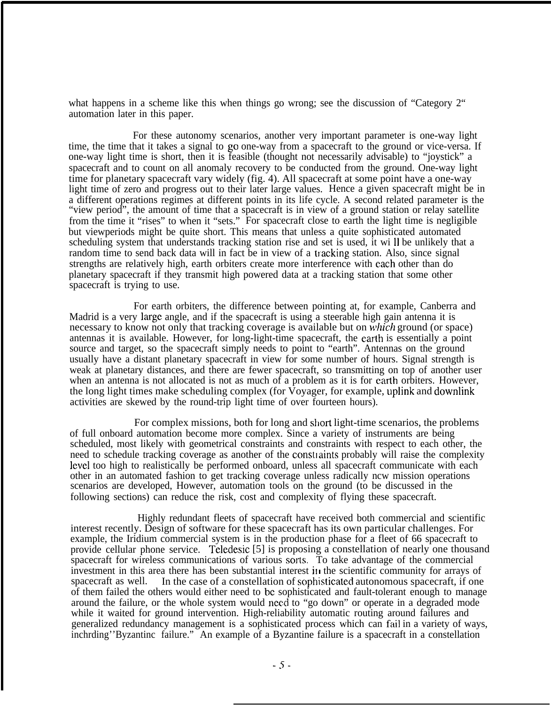what happens in a scheme like this when things go wrong; see the discussion of "Category 2" automation later in this paper.

For these autonomy scenarios, another very important parameter is one-way light time, the time that it takes a signal to go one-way from a spacecraft to the ground or vice-versa. If one-way light time is short, then it is feasible (thought not necessarily advisable) to "joystick" a spacecraft and to count on all anomaly recovery to be conducted from the ground. One-way light time for planetary spacecraft vary widely (fig. 4). All spacecraft at some point have a one-way light time of zero and progress out to their later large values. Hence a given spacecraft might be in a different operations regimes at different points in its life cycle. A second related parameter is the "view period", the amount of time that a spacecraft is in view of a ground station or relay satellite from the time it "rises" to when it "sets." For spacecraft close to earth the light time is negligible but viewperiods might be quite short. This means that unless a quite sophisticated automated scheduling system that understands tracking station rise and set is used, it wi 11 be unlikely that a random time to send back data will in fact be in view of a tracking station. Also, since signal strengths are relatively high, earth orbiters create more interference with each other than do planetary spacecraft if they transmit high powered data at a tracking station that some other spacecraft is trying to use.

For earth orbiters, the difference between pointing at, for example, Canberra and Madrid is a very large angle, and if the spacecraft is using a steerable high gain antenna it is necessary to know not only that tracking coverage is available but on which ground (or space) antennas it is available. However, for long-light-time spacecraft, the earth is essentially a point source and target, so the spacecraft simply needs to point to "earth". Antennas on the ground usually have a distant planetary spacecraft in view for some number of hours. Signal strength is weak at planetary distances, and there are fewer spacecraft, so transmitting on top of another user when an antenna is not allocated is not as much of a problem as it is for earth orbiters. However, the long light times make scheduling complex (for Voyager, for example, uplink and downlink activities are skewed by the round-trip light time of over fourteen hours).

For complex missions, both for long and short light-time scenarios, the problems of full onboard automation become more complex. Since a variety of instruments are being scheduled, most likely with geometrical constraints and constraints with respect to each other, the need to schedule tracking coverage as another of the constraints probably will raise the complexity level too high to realistically be performed onboard, unless all spacecraft communicate with each other in an automated fashion to get tracking coverage unless radically ncw mission operations scenarios are developed, However, automation tools on the ground (to be discussed in the following sections) can reduce the risk, cost and complexity of flying these spacecraft.

Highly redundant fleets of spacecraft have received both commercial and scientific interest recently. Design of software for these spacecraft has its own particular challenges. For example, the Iridium commercial system is in the production phase for a fleet of 66 spacecraft to provide cellular phone service. Teledesic [5] is proposing a constellation of nearly one thousand spacecraft for wireless communications of various sorts. To take advantage of the commercial investment in this area there has been substantial interest in the scientific community for arrays of spacecraft as well. In the case of a constellation of sophisticated autonomous spacecraft, if one of them failed the others would either need to be sophisticated and fault-tolerant enough to manage around the failure, or the whole system would need to "go down" or operate in a degraded mode while it waited for ground intervention. High-reliability automatic routing around failures and generalized redundancy management is a sophisticated process which can fail in a variety of ways, inchrding''Byzantinc failure." An example of a Byzantine failure is a spacecraft in a constellation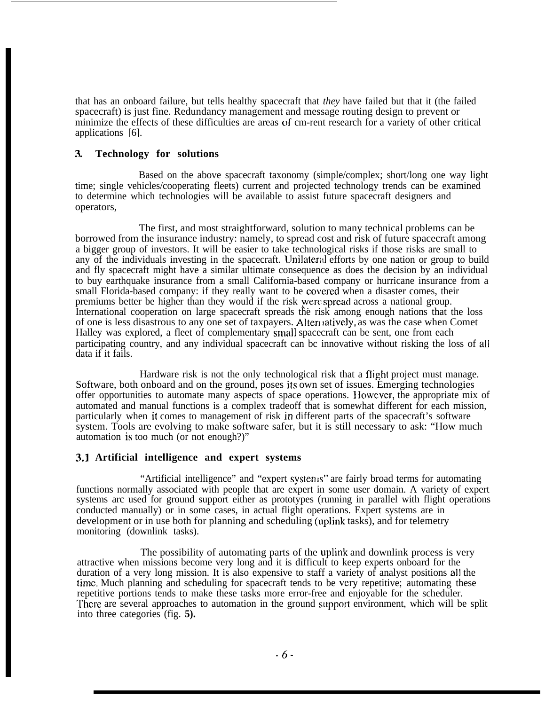that has an onboard failure, but tells healthy spacecraft that *they* have failed but that it (the failed spacecraft) is just fine. Redundancy management and message routing design to prevent or minimize the effects of these difficulties are areas of cm-rent research for a variety of other critical applications [6].

### *. . 3* **Technology for solutions**

Based on the above spacecraft taxonomy (simple/complex; short/long one way light time; single vehicles/cooperating fleets) current and projected technology trends can be examined to determine which technologies will be available to assist future spacecraft designers and operators,

The first, and most straightforward, solution to many technical problems can be borrowed from the insurance industry: namely, to spread cost and risk of future spacecraft among a bigger group of investors. It will be easier to take technological risks if those risks are small to any of the individuals investing in the spacecraft. Unilateral efforts by one nation or group to build and fly spacecraft might have a similar ultimate consequence as does the decision by an individual to buy earthquake insurance from a small California-based company or hurricane insurance from a small Florida-based company: if they really want to be covered when a disaster comes, their premiums better be higher than they would if the risk were spread across a national group. International cooperation on large spacecraft spreads the risk among enough nations that the loss of one is less disastrous to any one set of taxpayers. Alternatively, as was the case when Comet Halley was explored, a fleet of complementary small spacecraft can be sent, one from each participating country, and any individual spacecraft can bc innovative without risking the loss of all data if it fails.

Hardware risk is not the only technological risk that a flight project must manage. Software, both onboard and on the ground, poses its own set of issues. Emerging technologies offer opportunities to automate many aspects of space operations. However, the appropriate mix of automated and manual functions is a complex tradeoff that is somewhat different for each mission, particularly when it comes to management of risk in different parts of the spacecraft's software system. Tools are evolving to make software safer, but it is still necessary to ask: "How much automation is too much (or not enough?)"

#### **3.1 Artificial intelligence and expert systems**

"Artificial intelligence" and "expert systems" are fairly broad terms for automating functions normally associated with people that are expert in some user domain. A variety of expert systems arc used for ground support either as prototypes (running in parallel with flight operations conducted manually) or in some cases, in actual flight operations. Expert systems are in development or in use both for planning and scheduling (uplink tasks), and for telemetry monitoring (downlink tasks).

The possibility of automating parts of the uplink and downlink process is very attractive when missions become very long and it is difficult to keep experts onboard for the duration of a very long mission. It is also expensive to staff a variety of analyst positions all the time. Much planning and scheduling for spacecraft tends to be very repetitive; automating these repetitive portions tends to make these tasks more error-free and enjoyable for the scheduler. There are several approaches to automation in the ground support environment, which will be split into three categories (fig. **5).**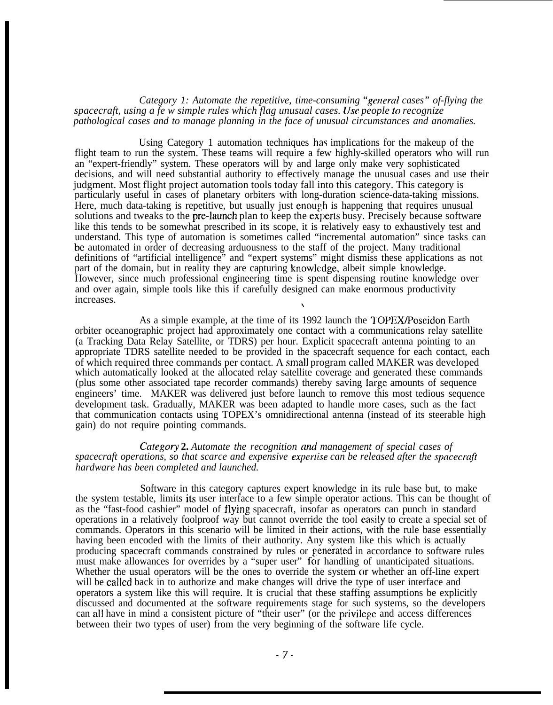*Category 1: Automate the repetitive, time-consuming "general cases" of-flying the spacecraft, using a fe w simple rules which flag unusual cases. Use people to recognize pathological cases and to manage planning in the face of unusual circumstances and anomalies.*

Using Category 1 automation techniques has implications for the makeup of the flight team to run the system. These teams will require a few highly-skilled operators who will run an "expert-friendly" system. These operators will by and large only make very sophisticated decisions, and will need substantial authority to effectively manage the unusual cases and use their judgment. Most flight project automation tools today fall into this category. This category is particularly useful in cases of planetary orbiters with long-duration science-data-taking missions. Here, much data-taking is repetitive, but usually just enough is happening that requires unusual solutions and tweaks to the pre-launch plan to keep the experts busy. Precisely because software like this tends to be somewhat prescribed in its scope, it is relatively easy to exhaustively test and understand. This type of automation is sometimes called "incremental automation" since tasks can bc automated in order of decreasing arduousness to the staff of the project. Many traditional definitions of "artificial intelligence" and "expert systems" might dismiss these applications as not part of the domain, but in reality they are capturing knowledge, albeit simple knowledge. However, since much professional engineering time is spent dispensing routine knowledge over and over again, simple tools like this if carefully designed can make enormous productivity increases.

As a simple example, at the time of its 1992 launch the TOPEX/Poseidon Earth orbiter oceanographic project had approximately one contact with a communications relay satellite (a Tracking Data Relay Satellite, or TDRS) per hour. Explicit spacecraft antenna pointing to an appropriate TDRS satellite needed to be provided in the spacecraft sequence for each contact, each of which required three commands per contact. A small program called MAKER was developed which automatically looked at the allocated relay satellite coverage and generated these commands (plus some other associated tape recorder commands) thereby saving large amounts of sequence engineers' time. MAKER was delivered just before launch to remove this most tedious sequence development task. Gradually, MAKER was been adapted to handle more cases, such as the fact that communication contacts using TOPEX's omnidirectional antenna (instead of its steerable high gain) do not require pointing commands.

#### *C'ate,gory* **2.** *Automate the recognition mui management of special cases of* spacecraft operations, so that scarce and expensive expertise can be released after the spacecraft *hardware has been completed and launched.*

Software in this category captures expert knowledge in its rule base but, to make the system testable, limits its user interface to a few simple operator actions. This can be thought of as the "fast-food cashier" model of flying spacecraft, insofar as operators can punch in standard operations in a relatively foolproof way but cannot override the tool easily to create a special set of commands. Operators in this scenario will be limited in their actions, with the rule base essentially having been encoded with the limits of their authority. Any system like this which is actually producing spacecraft commands constrained by rules or generated in accordance to software rules must make allowances for overrides by a "super user" for handling of unanticipated situations. Whether the usual operators will be the ones to override the system or whether an off-line expert will be called back in to authorize and make changes will drive the type of user interface and operators a system like this will require. It is crucial that these staffing assumptions be explicitly discussed and documented at the software requirements stage for such systems, so the developers can all have in mind a consistent picture of "their user" (or the privilege and access differences between their two types of user) from the very beginning of the software life cycle.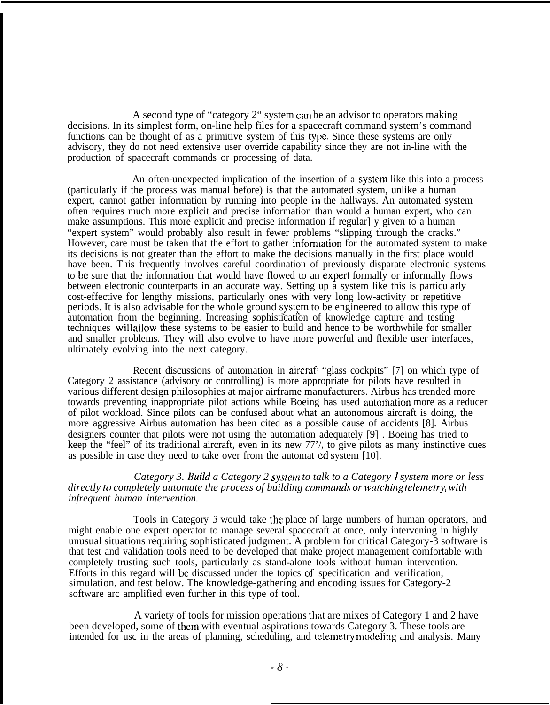A second type of "category 2" system can be an advisor to operators making decisions. In its simplest form, on-line help files for a spacecraft command system's command functions can be thought of as a primitive system of this type. Since these systems are only advisory, they do not need extensive user override capability since they are not in-line with the production of spacecraft commands or processing of data.

An often-unexpected implication of the insertion of a systcm like this into a process (particularly if the process was manual before) is that the automated system, unlike a human expert, cannot gather information by running into people in the hallways. An automated system often requires much more explicit and precise information than would a human expert, who can make assumptions. This more explicit and precise information if regular] y given to a human "expert system" would probably also result in fewer problems "slipping through the cracks." However, care must be taken that the effort to gather information for the automated system to make its decisions is not greater than the effort to make the decisions manually in the first place would have been. This frequently involves careful coordination of previously disparate electronic systems to be sure that the information that would have flowed to an expert formally or informally flows between electronic counterparts in an accurate way. Setting up a system like this is particularly cost-effective for lengthy missions, particularly ones with very long low-activity or repetitive periods. It is also advisable for the whole ground system to be engineered to allow this type of automation from the beginning. Increasing sophistication of knowledge capture and testing techniques will allow these systems to be easier to build and hence to be worthwhile for smaller and smaller problems. They will also evolve to have more powerful and flexible user interfaces, ultimately evolving into the next category.

Recent discussions of automation in aircraft "glass cockpits" [7] on which type of Category 2 assistance (advisory or controlling) is more appropriate for pilots have resulted in various different design philosophies at major airframe manufacturers. Airbus has trended more towards preventing inappropriate pilot actions while Boeing has used autorhation more as a reducer of pilot workload. Since pilots can be confused about what an autonomous aircraft is doing, the more aggressive Airbus automation has been cited as a possible cause of accidents [8]. Airbus designers counter that pilots were not using the automation adequately [9] . Boeing has tried to keep the "feel" of its traditional aircraft, even in its new 77'/, to give pilots as many instinctive cues as possible in case they need to take over from the automat cd system [10].

#### *Category 3. Build a Category 2 sysiem to talk to a Category 1 system more or less* directly to completely automate the process of building commands or watching *telemetry, with infrequent human intervention.*

Tools in Category *3* would take the place of large numbers of human operators, and might enable one expert operator to manage several spacecraft at once, only intervening in highly unusual situations requiring sophisticated judgment. A problem for critical Category-3 software is that test and validation tools need to be developed that make project management comfortable with completely trusting such tools, particularly as stand-alone tools without human intervention. Efforts in this regard will bc discussed under the topics of specification and verification, simulation, and test below. The knowledge-gathering and encoding issues for Category-2 software arc amplified even further in this type of tool.

A variety of tools for mission operations **thiit** are mixes of Category 1 and 2 have been developed, some of thcm with eventual aspirations towards Category 3. These tools are intended for usc in the areas of planning, scheduling, and tclemetry modeling and analysis. Many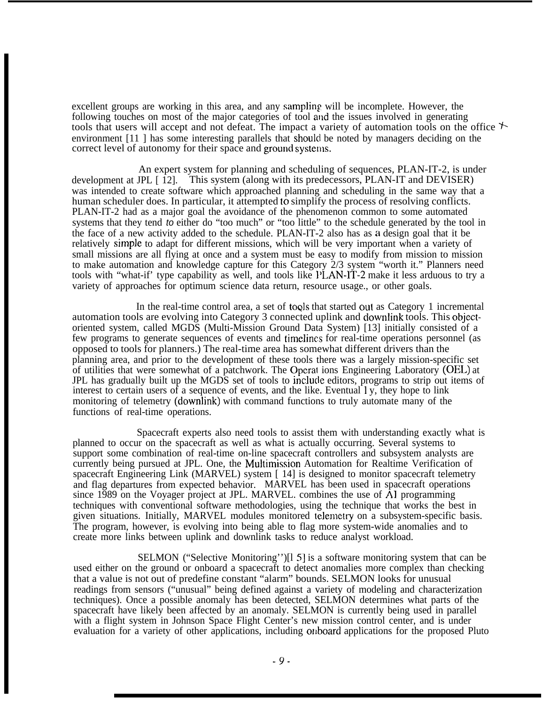excellent groups are working in this area, and any sampling will be incomplete. However, the following touches on most of the major categories of tool aud the issues involved in generating tools that users will accept and not defeat. The impact a variety of automation tools on the office  $\uparrow$ environment  $[11]$  has some interesting parallels that should be noted by managers deciding on the correct level of autonomy for their space and ground systems.

An expert system for planning and scheduling of sequences, PLAN-IT-2, is under development at JPL [12]. This system (along with its predecessors, PLAN-IT and DEVISER) was intended to create software which approached planning and scheduling in the same way that a human scheduler does. In particular, it attempted to simplify the process of resolving conflicts. PLAN-IT-2 had as a major goal the avoidance of the phenomenon common to some automated systems that they tend to either do "too much" or "too little" to the schedule generated by the tool in the face of a new activity added to the schedule. PLAN-IT-2 also has as a design goal that it be relatively simple to adapt for different missions, which will be very important when a variety of small missions are all flying at once and a system must be easy to modify from mission to mission to make automation and knowledge capture for this Category 2/3 system "worth it." Planners need tools with "what-if" type capability as well, and tools like PLAN-IT-2 make it less arduous to try a variety of approaches for optimum science data return, resource usage., or other goals.

In the real-time control area, a set of tools that started out as Category 1 incremental automation tools are evolving into Category 3 connected uplink and downlink tools. This objectoriented system, called MGDS (Multi-Mission Ground Data System) [13] initially consisted of a few programs to generate sequences of events and timelines for real-time operations personnel (as opposed to tools for planners.) The real-time area has somewhat different drivers than the planning area, and prior to the development of these tools there was a largely mission-specific set of utilities that were somewhat of a patchwork. The Opcrat ions Engineering Laboratory (OEL) at JPL has gradually built up the MGDS set of tools to include editors, programs to strip out items of interest to certain users of a sequence of events, and the like. Eventual 1 y, they hope to link monitoring of telemetry (downlink) with command functions to truly automate many of the functions of real-time operations.

Spacecraft experts also need tools to assist them with understanding exactly what is planned to occur on the spacecraft as well as what is actually occurring. Several systems to support some combination of real-time on-line spacecraft controllers and subsystem analysts are currently being pursued at JPL. One, the Multimission Automation for Realtime Verification of spacecraft Engineering Link (MARVEL) system [ 14] is designed to monitor spacecraft telemetry and flag departures from expected behavior. MARVEL has been used in spacecraft operations since 1989 on the Voyager project at JPL. MARVEL. combines the use of  $\overline{A}I$  programming techniques with conventional software methodologies, using the technique that works the best in given situations. Initially, MARVEL modules monitored lelemetry on a subsystem-specific basis. The program, however, is evolving into being able to flag more system-wide anomalies and to create more links between uplink and downlink tasks to reduce analyst workload.

SELMON ("Selective Monitoring'')[l 5] is a software monitoring system that can be used either on the ground or onboard a spacecraft to detect anomalies more complex than checking that a value is not out of predefine constant "alarm" bounds. SELMON looks for unusual readings from sensors ("unusual" being defined against a variety of modeling and characterization techniques). Once a possible anomaly has been detected, SELMON determines what parts of the spacecraft have likely been affected by an anomaly. SELMON is currently being used in parallel with a flight system in Johnson Space Flight Center's new mission control center, and is under evaluation for a variety of other applications, including onboard applications for the proposed Pluto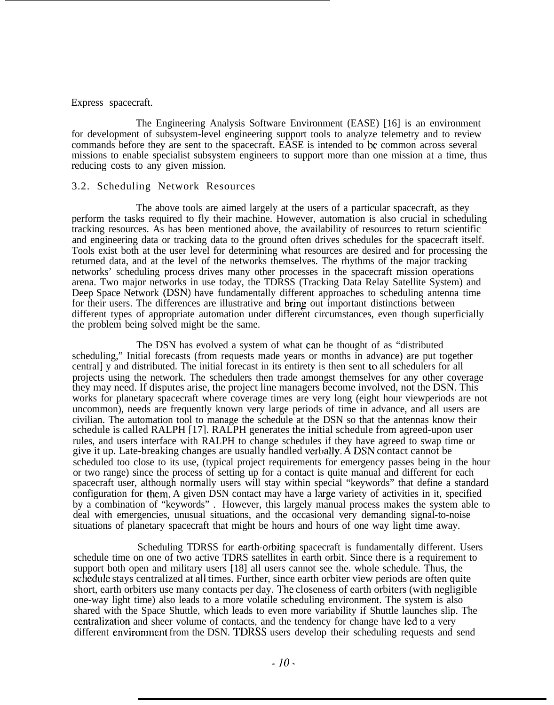Express spacecraft.

The Engineering Analysis Software Environment (EASE) [16] is an environment for development of subsystem-level engineering support tools to analyze telemetry and to review commands before they are sent to the spacecraft. EASE is intended to be common across several missions to enable specialist subsystem engineers to support more than one mission at a time, thus reducing costs to any given mission.

### 3.2. Scheduling Network Resources

The above tools are aimed largely at the users of a particular spacecraft, as they perform the tasks required to fly their machine. However, automation is also crucial in scheduling tracking resources. As has been mentioned above, the availability of resources to return scientific and engineering data or tracking data to the ground often drives schedules for the spacecraft itself. Tools exist both at the user level for determining what resources are desired and for processing the returned data, and at the level of the networks themselves. The rhythms of the major tracking networks' scheduling process drives many other processes in the spacecraft mission operations arena. Two major networks in use today, the TDRSS (Tracking Data Relay Satellite System) and Deep Space Network (DSN) have fundamentally different approaches to scheduling antenna time for their users. The differences are illustrative and bring out important distinctions between different types of appropriate automation under different circumstances, even though superficially the problem being solved might be the same.

The DSN has evolved a system of what can be thought of as "distributed" scheduling," Initial forecasts (from requests made years or months in advance) are put together central] y and distributed. The initial forecast in its entirety is then sent to all schedulers for all projects using the network. The schedulers then trade amongst themselves for any other coverage they may need. If disputes arise, the project line managers become involved, not the DSN. This works for planetary spacecraft where coverage times are very long (eight hour viewperiods are not uncommon), needs are frequently known very large periods of time in advance, and all users are civilian. The automation tool to manage the schedule at the DSN so that the antennas know their schedule is called RALPH [17]. RALPH generates the initial schedule from agreed-upon user rules, and users interface with RALPH to change schedules if they have agreed to swap time or give it up. Late-breaking changes are usually handled verbally. A DSN contact cannot be scheduled too close to its use, (typical project requirements for emergency passes being in the hour or two range) since the process of setting up for a contact is quite manual and different for each spacecraft user, although normally users will stay within special "keywords" that define a standard configuration for them. A given DSN contact may have a large variety of activities in it, specified by a combination of "keywords" . However, this largely manual process makes the system able to deal with emergencies, unusual situations, and the occasional very demanding signal-to-noise situations of planetary spacecraft that might be hours and hours of one way light time away.

Scheduling TDRSS for earth-orbiting spacecraft is fundamentally different. Users schedule time on one of two active TDRS satellites in earth orbit. Since there is a requirement to support both open and military users [18] all users cannot see the. whole schedule. Thus, the schedule stays centralized at all times. Further, since earth orbiter view periods are often quite short, earth orbiters use many contacts per day. The closeness of earth orbiters (with negligible one-way light time) also leads to a more volatile scheduling environment. The system is also shared with the Space Shuttle, which leads to even more variability if Shuttle launches slip. The centralization and sheer volume of contacts, and the tendency for change have lcd to a very different cnviromncnt from the DSN. TDRSS users develop their scheduling requests and send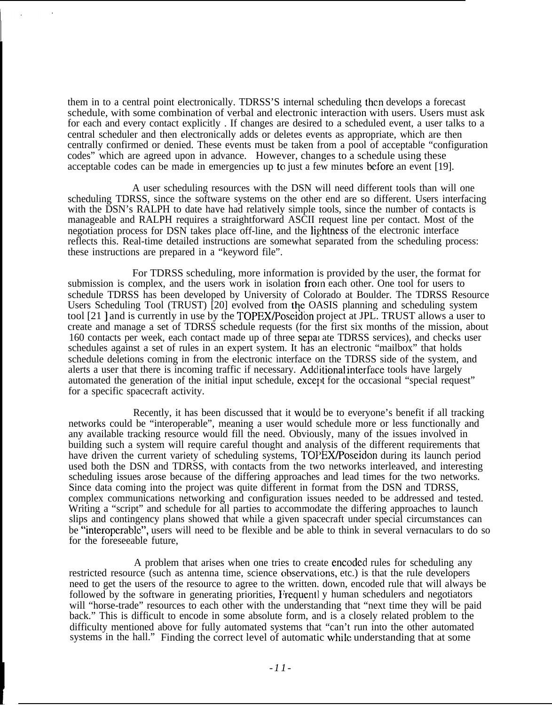them in to a central point electronically. TDRSS'S internal scheduling then develops a forecast schedule, with some combination of verbal and electronic interaction with users. Users must ask for each and every contact explicitly . If changes are desired to a scheduled event, a user talks to a central scheduler and then electronically adds or deletes events as appropriate, which are then centrally confirmed or denied. These events must be taken from a pool of acceptable "configuration codes" which are agreed upon in advance. However, changes to a schedule using these acceptable codes can be made in emergencies up to just a few minutes before an event [19].

l"'

L.

**I**

A user scheduling resources with the DSN will need different tools than will one scheduling TDRSS, since the software systems on the other end are so different. Users interfacing with the DSN's RALPH to date have had relatively simple tools, since the number of contacts is manageable and RALPH requires a straightforward ASCII request line per contact. Most of the negotiation process for DSN takes place off-line, and the lightness of the electronic interface reflects this. Real-time detailed instructions are somewhat separated from the scheduling process: these instructions are prepared in a "keyword file".

For TDRSS scheduling, more information is provided by the user, the format for submission is complex, and the users work in isolation from each other. One tool for users to schedule TDRSS has been developed by University of Colorado at Boulder. The TDRSS Resource Users Scheduling Tool (TRUST) [20] evolved from the OASIS planning and scheduling system tool [21 ] and is currently in use by the TOPEX/Poseidon project at JPL. TRUST allows a user to create and manage a set of TDRSS schedule requests (for the first six months of the mission, about 160 contacts per week, each contact made up of three sepal ate TDRSS services), and checks user schedules against a set of rules in an expert system. It has an electronic "mailbox" that holds schedule deletions coming in from the electronic interface on the TDRSS side of the system, and alerts a user that there is incoming traffic if necessary. Additional interface tools have largely automated the generation of the initial input schedule, except for the occasional "special request" for a specific spacecraft activity.

Recently, it has been discussed that it would be to everyone's benefit if all tracking networks could be "interoperable", meaning a user would schedule more or less functionally and any available tracking resource would fill the need. Obviously, many of the issues involved in building such a system will require careful thought and analysis of the different requirements that have driven the current variety of scheduling systems, TOPEX/Poseidon during its launch period used both the DSN and TDRSS, with contacts from the two networks interleaved, and interesting scheduling issues arose because of the differing approaches and lead times for the two networks. Since data coming into the project was quite different in format from the DSN and TDRSS, complex communications networking and configuration issues needed to be addressed and tested. Writing a "script" and schedule for all parties to accommodate the differing approaches to launch slips and contingency plans showed that while a given spacecraft under special circumstances can be "interoperable", users will need to be flexible and be able to think in several vernaculars to do so for the foreseeable future,

A problem that arises when one tries to create encoded rules for scheduling any restricted resource (such as antenna time, science observations, etc.) is that the rule developers need to get the users of the resource to agree to the written. down, encoded rule that will always be followed by the software in generating priorities, Frequentl y human schedulers and negotiators will "horse-trade" resources to each other with the understanding that "next time they will be paid back." This is difficult to encode in some absolute form, and is a closely related problem to the difficulty mentioned above for fully automated systems that "can't run into the other automated systems in the hall." Finding the correct level of automatic while understanding that at some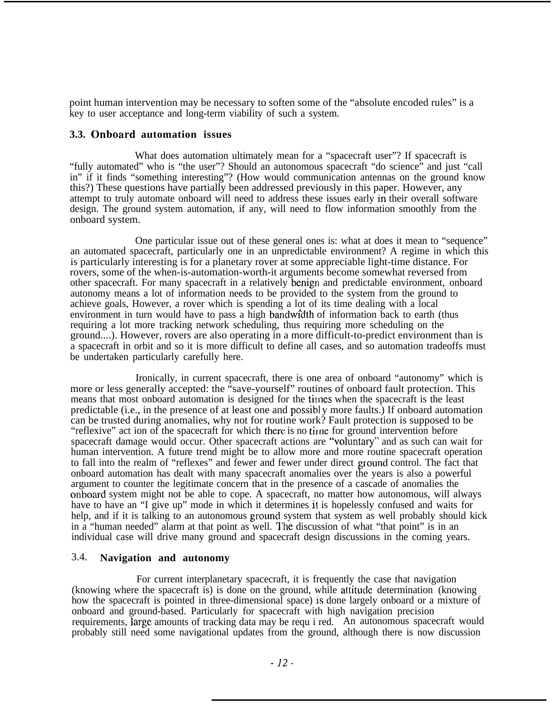point human intervention may be necessary to soften some of the "absolute encoded rules" is a key to user acceptance and long-term viability of such a system.

### **3.3. Onboard automation issues**

What does automation ultimately mean for a "spacecraft user"? If spacecraft is "fully automated" who is "the user"? Should an autonomous spacecraft "do science" and just "call in" if it finds "something interesting"? (How would communication antennas on the ground know this?) These questions have partially been addressed previously in this paper. However, any attempt to truly automate onboard will need to address these issues early in their overall software design. The ground system automation, if any, will need to flow information smoothly from the onboard system.

One particular issue out of these general ones is: what at does it mean to "sequence" an automated spacecraft, particularly one in an unpredictable environment? A regime in which this is particularly interesting is for a planetary rover at some appreciable light-time distance. For rovers, some of the when-is-automation-worth-it arguments become somewhat reversed from other spacecraft. For many spacecraft in a relatively benign and predictable environment, onboard autonomy means a lot of information needs to be provided to the system from the ground to achieve goals, However, a rover which is spending a lot of its time dealing with a local environment in turn would have to pass a high bandw;dth of information back to earth (thus requiring a lot more tracking network scheduling, thus requiring more scheduling on the ground....). However, rovers are also operating in a more difficult-to-predict environment than is a spacecraft in orbit and so it is more difficult to define all cases, and so automation tradeoffs must be undertaken particularly carefully here.

Ironically, in current spacecraft, there is one area of onboard "autonomy" which is more or less generally accepted: the "save-yourself" routines of onboard fault protection. This means that most onboard automation is designed for the times when the spacecraft is the least predictable (i.e., in the presence of at least one and possibl y more faults.) If onboard automation can be trusted during anomalies, why not for routine work? Fault protection is supposed to be "reflexive" act ion of the spacecraft for which there is no time for ground intervention before spacecraft damage would occur. Other spacecraft actions are "voluntary" and as such can wait for human intervention. A future trend might be to allow more and more routine spacecraft operation to fall into the realm of "reflexes" and fewer and fewer under direct ground control. The fact that onboard automation has dealt with many spacecraft anomalies over the years is also a powerful argument to counter the legitimate concern that in the presence of a cascade of anomalies the onboard system might not be able to cope. A spacecraft, no matter how autonomous, will always have to have an "I give up" mode in which it determines it is hopelessly confused and waits for help, and if it is talking to an autonomous ground system that system as well probably should kick in a "human needed" alarm at that point as well. The discussion of what "that point" is in an individual case will drive many ground and spacecraft design discussions in the coming years.

### 3.4. **Navigation and autonomy**

For current interplanetary spacecraft, it is frequently the case that navigation (knowing where the spacecraft is) is done on the ground, while attitude determination (knowing how the spacecraft is pointed in three-dimensional space) is done largely onboard or a mixture of onboard and ground-based. Particularly for spacecraft with high navigation precision requirements, large amounts of tracking data may be requ i red. An autonomous spacecraft would probably still need some navigational updates from the ground, although there is now discussion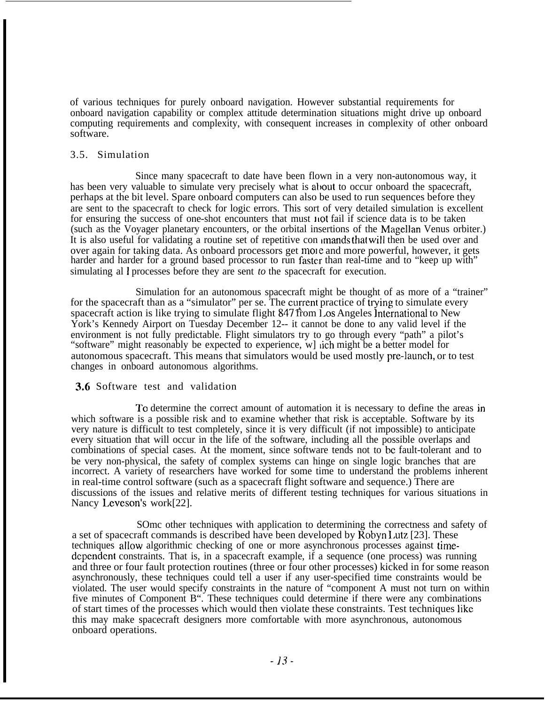of various techniques for purely onboard navigation. However substantial requirements for onboard navigation capability or complex attitude determination situations might drive up onboard computing requirements and complexity, with consequent increases in complexity of other onboard software.

### 3.5. Simulation

Since many spacecraft to date have been flown in a very non-autonomous way, it has been very valuable to simulate very precisely what is about to occur onboard the spacecraft, perhaps at the bit level. Spare onboard computers can also be used to run sequences before they are sent to the spacecraft to check for logic errors. This sort of very detailed simulation is excellent for ensuring the success of one-shot encounters that must not fail if science data is to be taken (such as the Voyager planetary encounters, or the orbital insertions of the Magellan Venus orbiter.) It is also useful for validating a routine set of repetitive con imands that will then be used over and over again for taking data. As onboard processors get mole and more powerful, however, it gets harder and harder for a ground based processor to run faster than real-time and to "keep up with" simulating al 1 processes before they are sent *to* the spacecraft for execution.

Simulation for an autonomous spacecraft might be thought of as more of a "trainer" for the spacecraft than as a "simulator" per se. The current practice of trying to simulate every spacecraft action is like trying to simulate flight 847 from 1.OS Angeles lnternatiomd to New York's Kennedy Airport on Tuesday December 12-- it cannot be done to any valid level if the environment is not fully predictable. Flight simulators try to go through every "path" a pilot's "software" might reasonably be expected to experience, w] Iich might be a better model for autonomous spacecraft. This means that simulators would be used mostly pre-launch, or to test changes in onboard autonomous algorithms.

#### 3.6 Software test and validation

To determine the correct amount of automation it is necessary to define the areas in which software is a possible risk and to examine whether that risk is acceptable. Software by its very nature is difficult to test completely, since it is very difficult (if not impossible) to anticipate every situation that will occur in the life of the software, including all the possible overlaps and combinations of special cases. At the moment, since software tends not to bc fault-tolerant and to be very non-physical, the safety of complex systems can hinge on single logic branches that are incorrect. A variety of researchers have worked for some time to understand the problems inherent in real-time control software (such as a spacecraft flight software and sequence.) There are discussions of the issues and relative merits of different testing techniques for various situations in Nancy Leveson's work[22].

SOmc other techniques with application to determining the correctness and safety of a set of spacecraft commands is described have been developed by Robyn 1,utz [23]. These techniques allow algorithmic checking of one or more asynchronous processes against timedcpcndcnt constraints. That is, in a spacecraft example, if a sequence (one process) was running and three or four fault protection routines (three or four other processes) kicked in for some reason asynchronously, these techniques could tell a user if any user-specified time constraints would be violated. The user would specify constraints in the nature of "component A must not turn on within five minutes of Component B". These techniques could determine if there were any combinations of start times of the processes which would then violate these constraints. Test techniques like this may make spacecraft designers more comfortable with more asynchronous, autonomous onboard operations.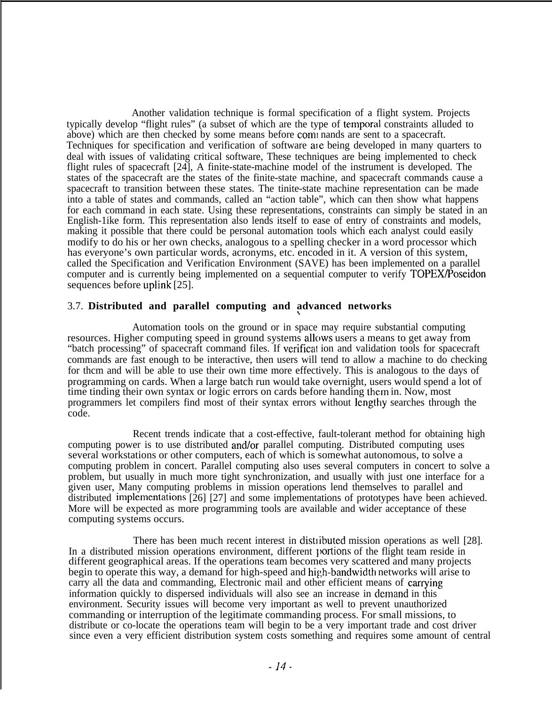Another validation technique is formal specification of a flight system. Projects typically develop "flight rules" (a subset of which are the type of temporal constraints alluded to above) which are then checked by some means before comparison are sent to a spacecraft. Techniques for specification and verification of software ale being developed in many quarters to deal with issues of validating critical software, These techniques are being implemented to check flight rules of spacecraft [24], A finite-state-machine model of the instrument is developed. The states of the spacecraft are the states of the finite-state machine, and spacecraft commands cause a spacecraft to transition between these states. The tinite-state machine representation can be made into a table of states and commands, called an "action table", which can then show what happens for each command in each state. Using these representations, constraints can simply be stated in an English-1ike form. This representation also lends itself to ease of entry of constraints and models, making it possible that there could be personal automation tools which each analyst could easily modify to do his or her own checks, analogous to a spelling checker in a word processor which has everyone's own particular words, acronyms, etc. encoded in it. A version of this system, called the Specification and Verification Environment (SAVE) has been implemented on a parallel computer and is currently being implemented on a sequential computer to verify TOPEX/Poseidon sequences before uplink [25].

## 3.7. **Distributed and parallel computing and advanced networks \**

Automation tools on the ground or in space may require substantial computing resources. Higher computing speed in ground systems allows users a means to get away from "batch processing" of spacecraft command files. If verificat ion and validation tools for spacecraft commands are fast enough to be interactive, then users will tend to allow a machine to do checking for thcm and will be able to use their own time more effectively. This is analogous to the days of programming on cards. When a large batch run would take overnight, users would spend a lot of time tinding their own syntax or logic errors on cards before handing them in. Now, most programmers let compilers find most of their syntax errors without lengthy searches through the code.

Recent trends indicate that a cost-effective, fault-tolerant method for obtaining high computing power is to use distributed and/or parallel computing. Distributed computing uses several workstations or other computers, each of which is somewhat autonomous, to solve a computing problem in concert. Parallel computing also uses several computers in concert to solve a problem, but usually in much more tight synchronization, and usually with just one interface for a given user, Many computing problems in mission operations lend themselves to parallel and distributed implementations [26] [27] and some implementations of prototypes have been achieved. More will be expected as more programming tools are available and wider acceptance of these computing systems occurs.

There has been much recent interest in distributed mission operations as well [28]. In a distributed mission operations environment, different portions of the flight team reside in different geographical areas. If the operations team becomes very scattered and many projects begin to operate this way, a demand for high-speed and high-banclwidth networks will arise to carry all the data and commanding, Electronic mail and other efficient means of canying information quickly to dispersed individuals will also see an increase in demand in this environment. Security issues will become very important as well to prevent unauthorized commanding or interruption of the legitimate commanding process. For small missions, to distribute or co-locate the operations team will begin to be a very important trade and cost driver since even a very efficient distribution system costs something and requires some amount of central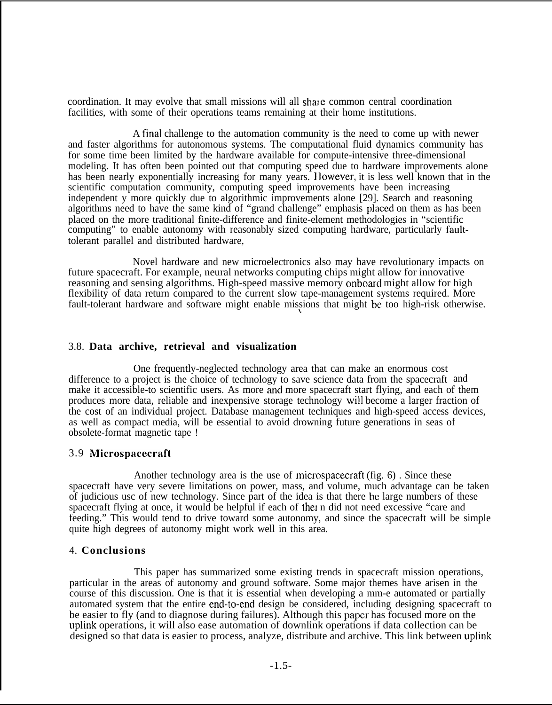coordination. It may evolve that small missions will all share common central coordination facilities, with some of their operations teams remaining at their home institutions.

A final challenge to the automation community is the need to come up with newer and faster algorithms for autonomous systems. The computational fluid dynamics community has for some time been limited by the hardware available for compute-intensive three-dimensional modeling. It has often been pointed out that computing speed due to hardware improvements alone has been nearly exponentially increasing for many years. However, it is less well known that in the scientific computation community, computing speed improvements have been increasing independent y more quickly due to algorithmic improvements alone [29]. Search and reasoning algorithms need to have the same kind of "grand challenge" emphasis placecl on them as has been placed on the more traditional finite-difference and finite-element methodologies in "scientific computing" to enable autonomy with reasonably sized computing hardware, particularly faulttolerant parallel and distributed hardware,

Novel hardware and new microelectronics also may have revolutionary impacts on future spacecraft. For example, neural networks computing chips might allow for innovative reasoning and sensing algorithms. High-speed massive memory onboard might allow for high flexibility of data return compared to the current slow tape-management systems required. More fault-tolerant hardware and software might enable missions that might be too high-risk otherwise. \

#### 3.8. **Data archive, retrieval and visualization**

One frequently-neglected technology area that can make an enormous cost difference to a project is the choice of technology to save science data from the spacecraft and make it accessible-to scientific users. As more and more spacecraft start flying, and each of them produces more data, reliable and inexpensive storage technology will become a larger fraction of the cost of an individual project. Database management techniques and high-speed access devices, as well as compact media, will be essential to avoid drowning future generations in seas of obsolete-format magnetic tape !

#### 3.9 **Microspacecraft**

Another technology area is the use of microspacecraft (fig.  $6$ ). Since these spacecraft have very severe limitations on power, mass, and volume, much advantage can be taken of judicious usc of new technology. Since part of the idea is that there bc large numbers of these spacecraft flying at once, it would be helpful if each of thel n did not need excessive "care and feeding." This would tend to drive toward some autonomy, and since the spacecraft will be simple quite high degrees of autonomy might work well in this area.

## 4. **Conclusions**

This paper has summarized some existing trends in spacecraft mission operations, particular in the areas of autonomy and ground software. Some major themes have arisen in the course of this discussion. One is that it is essential when developing a mm-e automated or partially automated system that the entire end-to-end design be considered, including designing spacecraft to be easier to fly (and to diagnose during failures). Although this paper has focused more on the uplink operations, it will also ease automation of downlink operations if data collection can be designed so that data is easier to process, analyze, distribute and archive. This link between uplink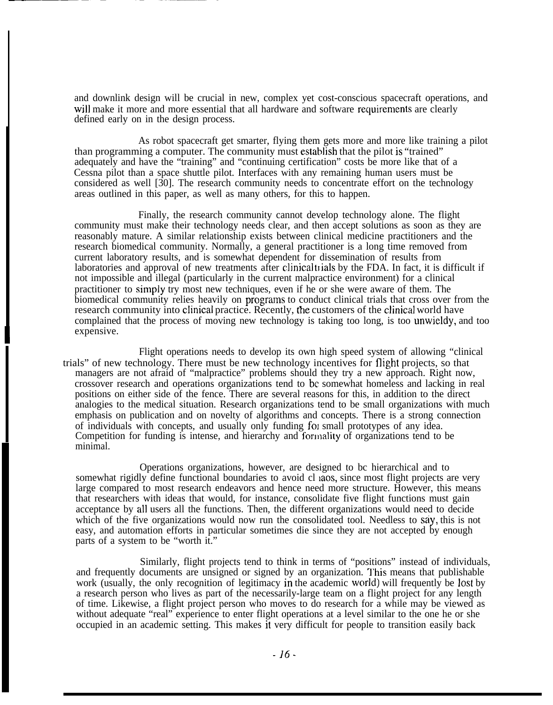and downlink design will be crucial in new, complex yet cost-conscious spacecraft operations, and will make it more and more essential that all hardware and software requirements are clearly defined early on in the design process.

As robot spacecraft get smarter, flying them gets more and more like training a pilot than programming a computer. The community must establish that the pilot is "trained" adequately and have the "training" and "continuing certification" costs be more like that of a Cessna pilot than a space shuttle pilot. Interfaces with any remaining human users must be considered as well [30]. The research community needs to concentrate effort on the technology areas outlined in this paper, as well as many others, for this to happen.

Finally, the research community cannot develop technology alone. The flight community must make their technology needs clear, and then accept solutions as soon as they are reasonably mature. A similar relationship exists between clinical medicine practitioners and the research biomedical community. Normally, a general practitioner is a long time removed from current laboratory results, and is somewhat dependent for dissemination of results from laboratories and approval of new treatments after clinical trials by the FDA. In fact, it is difficult if not impossible and illegal (particularly in the current malpractice environment) for a clinical practitioner to sjmply try most new techniques, even if he or she were aware of them. The biomedical community relies heavily on programs to conduct clinical trials that cross over from the research community into clinical practice. Recently, the customers of the clinical world have complained that the process of moving new technology is taking too long, is too unwjeldy, and too expensive.

Flight operations needs to develop its own high speed system of allowing "clinical trials" of new technology. There must be new technology incentives for flight projects, so that managers are not afraid of "malpractice" problems should they try a new approach. Right now, crossover research and operations organizations tend to be somewhat homeless and lacking in real positions on either side of the fence. There are several reasons for this, in addition to the direct analogies to the medical situation. Research organizations tend to be small organizations with much emphasis on publication and on novelty of algorithms and concepts. There is a strong connection of individuals with concepts, and usually only funding fol small prototypes of any idea. Competition for funding is intense, and hierarchy and formality of organizations tend to be minimal.

**I**

I

Operations organizations, however, are designed to bc hierarchical and to somewhat rigidly define functional boundaries to avoid cl aos, since most flight projects are very large compared to most research endeavors and hence need more structure. However, this means that researchers with ideas that would, for instance, consolidate five flight functions must gain acceptance by all users all the functions. Then, the different organizations would need to decide which of the five organizations would now run the consolidated tool. Needless to say, this is not easy, and automation efforts in particular sometimes die since they are not accepted by enough parts of a system to be "worth it."

Similarly, flight projects tend to think in terms of "positions" instead of individuals, and frequently documents are unsigned or signed by an organization. '1'hjs means that publishable work (usually, the only recognition of legitimacy in the academic world) will frequently be lost by a research person who lives as part of the necessarily-large team on a flight project for any length of time. Likewise, a flight project person who moves to do research for a while may be viewed as without adequate "real" experience to enter flight operations at a level similar to the one he or she occupied in an academic setting. This makes jt very difficult for people to transition easily back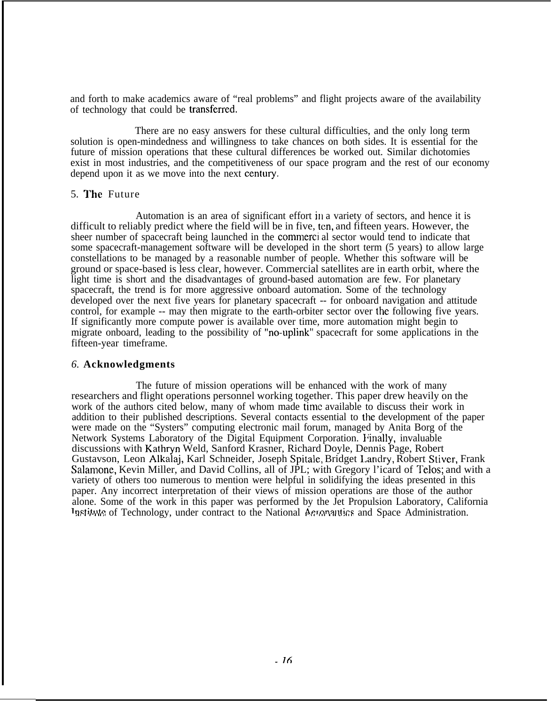and forth to make academics aware of "real problems" and flight projects aware of the availability of technology that could be transfemed.

There are no easy answers for these cultural difficulties, and the only long term solution is open-mindedness and willingness to take chances on both sides. It is essential for the future of mission operations that these cultural differences be worked out. Similar dichotomies exist in most industries, and the competitiveness of our space program and the rest of our economy depend upon it as we move into the next century.

#### 5. The Future

Automation is an area of significant effort in a variety of sectors, and hence it is difficult to reliably predict where the field will be in five, ten, and fifteen years. However, the sheer number of spacecraft being launched in the cornmerci al sector would tend to indicate that some spacecraft-management software will be developed in the short term (5 years) to allow large constellations to be managed by a reasonable number of people. Whether this software will be ground or space-based is less clear, however. Commercial satellites are in earth orbit, where the light time is short and the disadvantages of ground-based automation are few. For planetary spacecraft, the trend is for more aggressive onboard automation. Some of the technology developed over the next five years for planetary spacecraft -- for onboard navigation and attitude control, for example -- may then migrate to the earth-orbiter sector over the following five years. If significantly more compute power is available over time, more automation might begin to migrate onboard, leading to the possibility of "no-uplink" spacecraft for some applications in the fifteen-year timeframe.

#### *6.* **Acknowledgments**

The future of mission operations will be enhanced with the work of many researchers and flight operations personnel working together. This paper drew heavily on the work of the authors cited below, many of whom made time available to discuss their work in addition to their published descriptions. Several contacts essential to the development of the paper were made on the "Systers" computing electronic mail forum, managed by Anita Borg of the Network Systems Laboratory of the Digital Equipment Corporation. Finally, invaluable discussions with Kathryn Weld, Sanford Krasner, Richard Doyle, Dennis Page, Robert Gustavson, Leon Alkalaj, Karl Schneider, Joseph Spitale, Bridget Landry, Robert Stiver, Frank Salamone, Kevin Miller, and David Collins, all of JPL; with Gregory l'icard of Telos; and with a variety of others too numerous to mention were helpful in solidifying the ideas presented in this paper. Any incorrect interpretation of their views of mission operations are those of the author alone. Some of the work in this paper was performed by the Jet Propulsion Laboratory, California Institute of Technology, under contract to the National Aeronautics and Space Administration.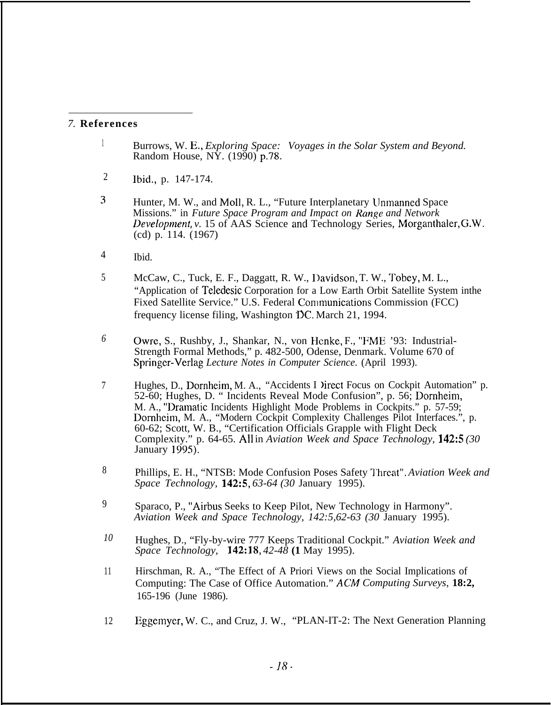### 7. References

- $\mathbf{1}$ Burrows, W. E., Exploring Space: Voyages in the Solar System and Beyond. Random House, NY.  $(1990)$  p.78.
- $\overline{2}$ Ibid., p. 147-174.
- $3<sup>1</sup>$ Hunter, M. W., and Moll, R. L., "Future Interplanetary Unmanned Space Missions." in Future Space Program and Impact on Range and Network Development, v. 15 of AAS Science and Technology Series, Morganthaler, G.W.  $(cd)$  p. 114.  $(1967)$
- $\overline{4}$ Ibid.
- $5\overline{)}$ McCaw, C., Tuck, E. F., Daggatt, R. W., Davidson, T. W., Tobey, M. L., "Application of Teledesic Corporation for a Low Earth Orbit Satellite System in the Fixed Satellite Service." U.S. Federal Communications Commission (FCC) frequency license filing, Washington DC. March 21, 1994.
- 6 Owre, S., Rushby, J., Shankar, N., von Henke, F., "FME '93: Industrial-Strength Formal Methods," p. 482-500, Odense, Denmark. Volume 670 of Springer-Verlag Lecture Notes in Computer Science. (April 1993).
- Hughes, D., Dornheim, M. A., "Accidents I Virect Focus on Cockpit Automation" p.  $7\overline{ }$ 52-60; Hughes, D. " Incidents Reveal Mode Confusion", p. 56; Dornheim, M. A., "Dramatic Incidents Highlight Mode Problems in Cockpits." p. 57-59; Dornheim, M. A., "Modern Cockpit Complexity Challenges Pilot Interfaces.", p. 60-62; Scott, W. B., "Certification Officials Grapple with Flight Deck Complexity." p. 64-65. All in Aviation Week and Space Technology, 142:5 (30 January 1995).
- 8 Phillips, E. H., "NTSB: Mode Confusion Poses Safety Threat". Aviation Week and *Space Technology*, **142:5**, 63-64 (30 January 1995).
- 9 Sparaco, P., "Airbus Seeks to Keep Pilot, New Technology in Harmony". Aviation Week and Space Technology, 142:5,62-63 (30 January 1995).
- $10\,$ Hughes, D., "Fly-by-wire 777 Keeps Traditional Cockpit." Aviation Week and Space Technology, **142:18**, 42-48 (1 May 1995).
- Hirschman, R. A., "The Effect of A Priori Views on the Social Implications of  $11$ Computing: The Case of Office Automation." ACM Computing Surveys, 18:2, 165-196 (June 1986).
- Eggemyer, W. C., and Cruz, J. W., "PLAN-IT-2: The Next Generation Planning 12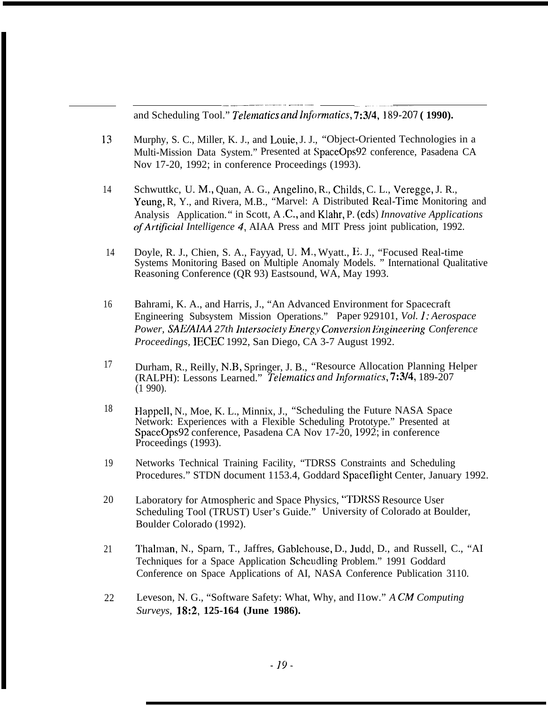and Scheduling Tool." *Telematics and Informatics*, 7:3/4, 189-207 (1990).

.. ——— ———— — \_—— —

- *13* Murphy, S. C., Miller, K. J., and Louie, J. J., "Object-Oriented Technologies in a Multi-Mission Data System." Presented at SpaceOps92 conference, Pasadena CA Nov 17-20, 1992; in conference Proceedings (1993).
- 14 Schwuttkc, U. M,, Quan, A. G., Angelino, R., Childs, C. L., Veregge, J. R., Yeung, R, Y., and Rivera, M.B., "Marvel: A Distributed Real-Time Monitoring and Analysis Application." in Scott, A .C., and Klahr, P. (eds) *Innovative Applications cfArt&ial Intelligence 4,* AIAA Press and MIT Press joint publication, 1992.
- 14 Doyle, R. J., Chien, S. A., Fayyad, U. M., Wyatt., E. J., "Focused Real-time Systems Monitoring Based on Multiple Anomaly Models. " International Qualitative Reasoning Conference (QR 93) Eastsound, WA, May 1993.
- 16 Bahrami, K. A., and Harris, J., "An Advanced Environment for Spacecraft Engineering Subsystem Mission Operations." Paper 929101, *Vol. 1: Aerospace Power, SAE/AIAA 27th Intersociety Energy Conversion Engineering Conference Proceedings,* IECEC 1992, San Diego, CA 3-7 August 1992.
- 17 Durham, R., Reilly, N.B, Springer, J. B., "Resource Allocation Planning Helper (RALPH): Lessons Learned." *Telematics and lnformatics, 7:3/4,* 189-207 (1 990).
- 18 Happcll, N., Moe, K. L., Minnix, J., "Scheduling the Future NASA Space Network: Experiences with a Flexible Scheduling Prototype." Presented at SpaceOps92 conference, Pasadena CA Nov 17-20, 1992; in conference Proceedings (1993).
- 19 Networks Technical Training Facility, "TDRSS Constraints and Scheduling Procedures." STDN document 1153.4, Goddard Spaceflight Center, January 1992.
- 20 Laboratory for Atmospheric and Space Physics, "TDRSS Resource User Scheduling Tool (TRUST) User's Guide." University of Colorado at Boulder, Boulder Colorado (1992).
- 21 Thalman, N., Sparn, T., Jaffres, Gablehouse, D., Judcl, D., and Russell, C., "AI Techniques for a Space Application Schcudling Problem." 1991 Goddard Conference on Space Applications of AI, NASA Conference Publication 3110.
- 22 Leveson, N. G., "Software Safety: What, Why, and I1ow." *A CM Computing Surveys,* **18:2, 125-164 (June 1986).**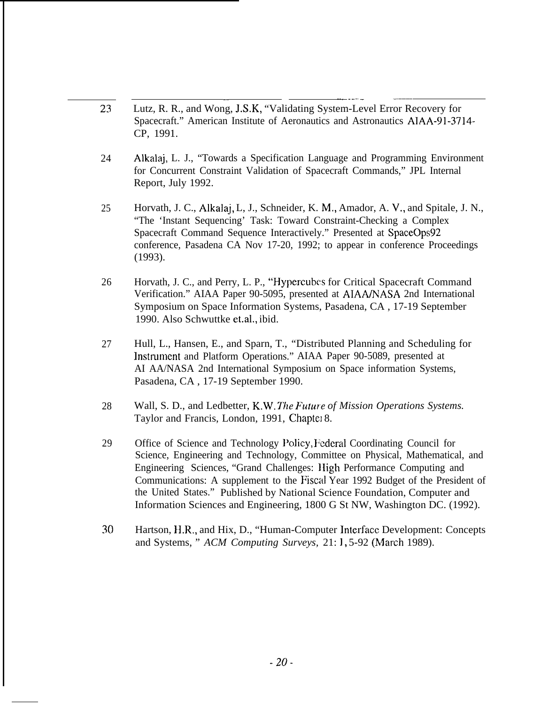23 Lutz, R. R., and Wong, J.S.K, "Validating System-Level Error Recovery for Spacecraft." American Institute of Aeronautics and Astronautics AIAA-91-37 14- CP, 1991.

— — . ..— — \_——

- 24 Alkalaj, L. J., "Towards a Specification Language and Programming Environment for Concurrent Constraint Validation of Spacecraft Commands," JPL Internal Report, July 1992.
- 25 Horvath, J. C., Alkalaj, L, J., Schneider, K. M,, Amador, A. V,, and Spitale, J. N., "The 'Instant Sequencing' Task: Toward Constraint-Checking a Complex Spacecraft Command Sequence Interactively." Presented at SpaceOps92 conference, Pasadena CA Nov 17-20, 1992; to appear in conference Proceedings (1993).
- 26 Horvath, J. C., and Perry, L. P., "Hypercubes for Critical Spacecraft Command Verification." AIAA Paper 90-5095, presented at AIAAINASA 2nd International Symposium on Space Information Systems, Pasadena, CA , 17-19 September 1990. Also Schwuttke et.al., ibid.
- 27 Hull, L., Hansen, E., and Sparn, T., "Distributed Planning and Scheduling for Instrument and Platform Operations." AIAA Paper 90-5089, presented at AI AA/NASA 2nd International Symposium on Space information Systems, Pasadena, CA , 17-19 September 1990.
- 28 Wall, S. D., and Ledbetter, K.W. *The Future of Mission Operations Systems.* Taylor and Francis, London, 1991, Chaptej 8.
- 29 Office of Science and Technology Policy, Federal Coordinating Council for Science, Engineering and Technology, Committee on Physical, Mathematical, and Engineering Sciences, "Grand Challenges: High Performance Computing and Communications: A supplement to the Fiscal Year 1992 Budget of the President of the United States." Published by National Science Foundation, Computer and Information Sciences and Engineering, 1800 G St NW, Washington DC. (1992).
- *30* Hartson, H.R., and Hix, D., "Human-Computer lnterfacc Development: Concepts and Systems, " *ACM Computing Surveys*, 21: 1, 5-92 (March 1989).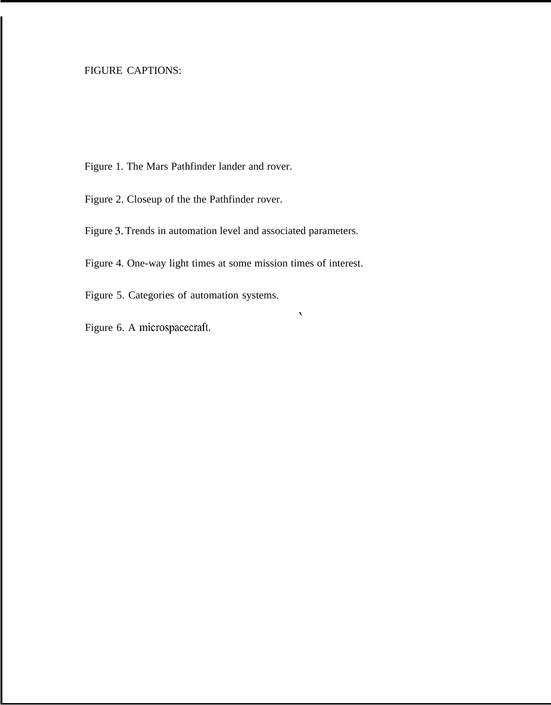# FIGURE CAPTIONS:

Figure 1. The Mars Pathfinder lander and rover.

Figure 2. Closeup of the the Pathfinder rover.

Figure 3. Trends in automation level and associated parameters.

Figure 4. One-way light times at some mission times of interest.

 $\bar{\mathbf{v}}$ 

Figure 5. Categories of automation systems.

Figure 6. A microspacecraft.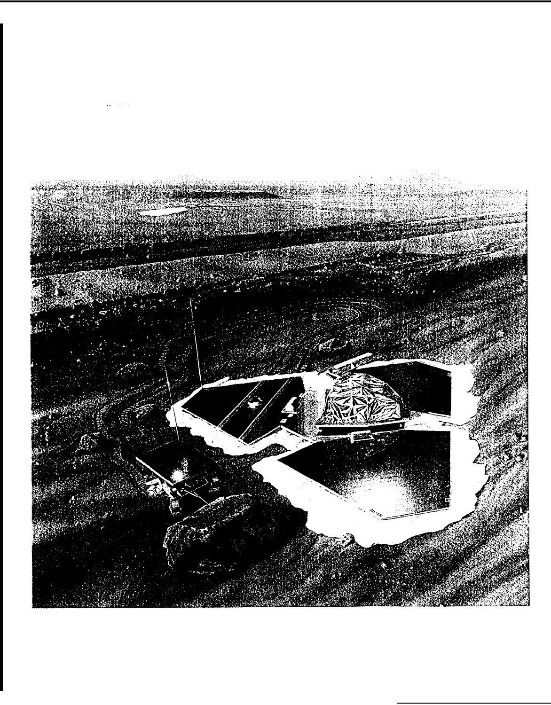

المحاملات للموار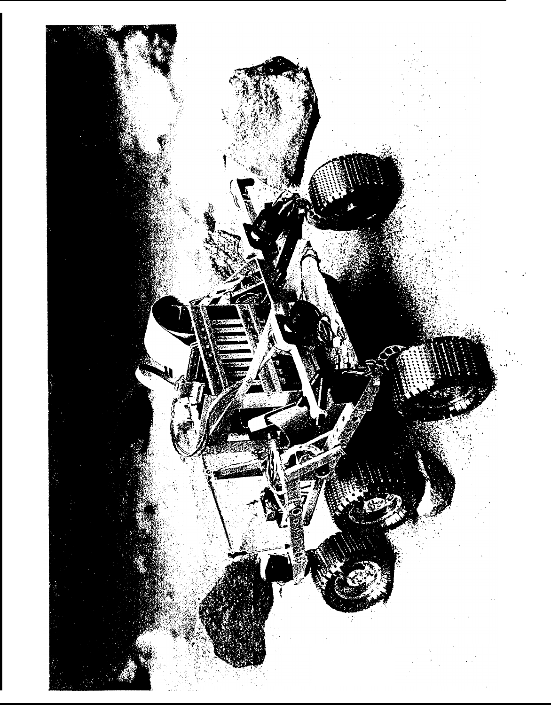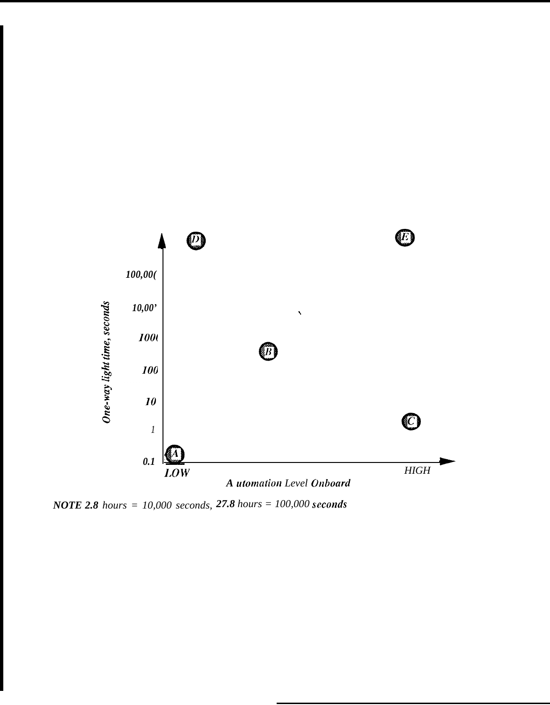

**NOTE 2.8** hours =  $10,000$  seconds, 27.8 hours =  $100,000$  seconds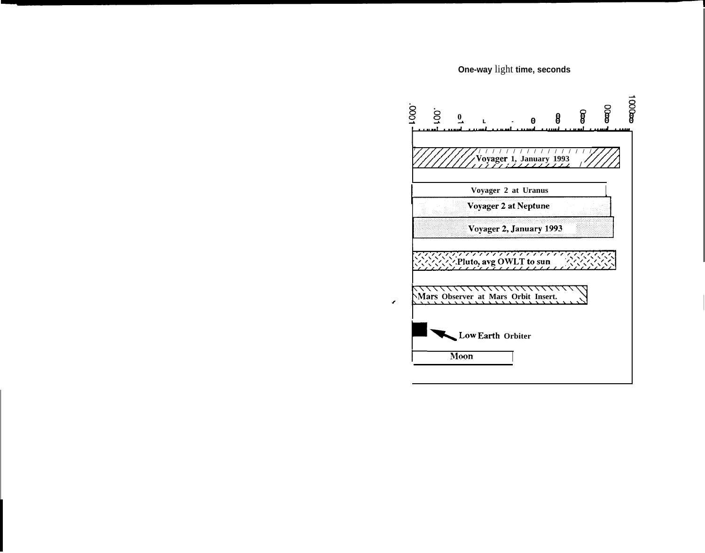## **One-way** light **time, seconds**

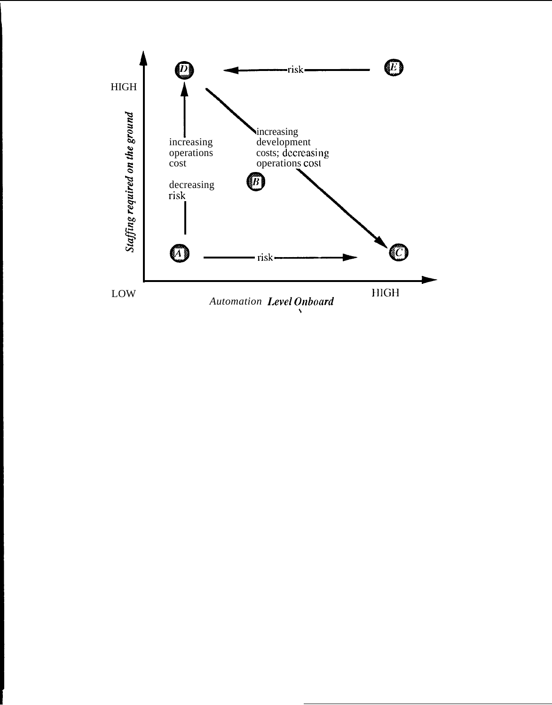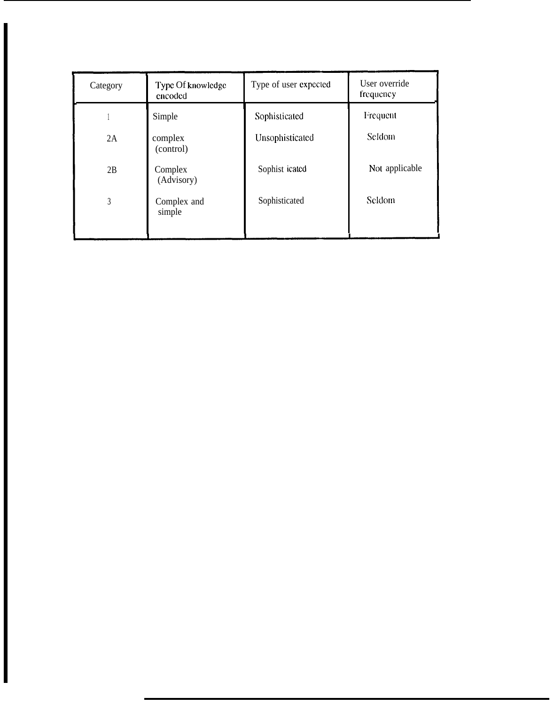| Category | Type Of knowledge<br>encoded | Type of user expected | User override<br>frequency |
|----------|------------------------------|-----------------------|----------------------------|
|          | Simple                       | Sophisticated         | Frequent                   |
| 2A       | complex<br>(control)         | Unsophisticated       | <b>Seldom</b>              |
| 2B       | Complex<br>(Advisory)        | Sophist icated        | Not applicable             |
| 3        | Complex and<br>simple        | Sophisticated         | <b>Seldom</b>              |